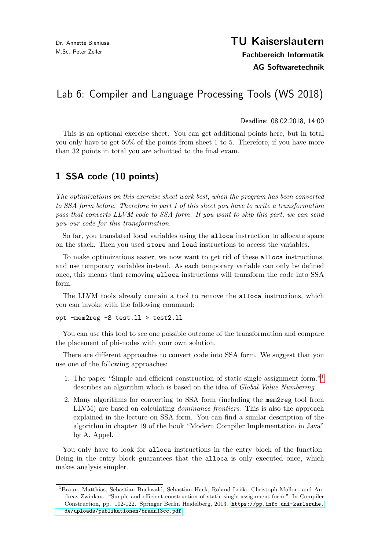# TU Kaiserslautern Fachbereich Informatik AG Softwaretechnik

# Lab 6: Compiler and Language Processing Tools (WS 2018)

#### Deadline: 08.02.2018, 14:00

This is an optional exercise sheet. You can get additional points here, but in total you only have to get 50% of the points from sheet 1 to 5. Therefore, if you have more than 32 points in total you are admitted to the final exam.

## 1 SSA code (10 points)

The optimizations on this exercise sheet work best, when the program has been converted to SSA form before. Therefore in part 1 of this sheet you have to write a transformation pass that converts LLVM code to SSA form. If you want to skip this part, we can send you our code for this transformation.

So far, you translated local variables using the alloca instruction to allocate space on the stack. Then you used store and load instructions to access the variables.

To make optimizations easier, we now want to get rid of these alloca instructions, and use temporary variables instead. As each temporary variable can only be defined once, this means that removing alloca instructions will transform the code into SSA form.

The LLVM tools already contain a tool to remove the alloca instructions, which you can invoke with the following command:

```
opt -mem2reg -S test.ll > test2.ll
```
You can use this tool to see one possible outcome of the transformation and compare the placement of phi-nodes with your own solution.

There are different approaches to convert code into SSA form. We suggest that you use one of the following approaches:

- 1. The paper "Simple and efficient construction of static single assignment form."[1](#page-0-0) describes an algorithm which is based on the idea of Global Value Numbering.
- 2. Many algorithms for converting to SSA form (including the mem2reg tool from LLVM) are based on calculating *dominance frontiers*. This is also the approach explained in the lecture on SSA form. You can find a similar description of the algorithm in chapter 19 of the book "Modern Compiler Implementation in Java" by A. Appel.

You only have to look for alloca instructions in the entry block of the function. Being in the entry block guarantees that the alloca is only executed once, which makes analysis simpler.

<span id="page-0-0"></span><sup>1</sup>Braun, Matthias, Sebastian Buchwald, Sebastian Hack, Roland Leißa, Christoph Mallon, and Andreas Zwinkau. "Simple and efficient construction of static single assignment form." In Compiler Construction, pp. 102-122. Springer Berlin Heidelberg, 2013. [https://pp.info.uni-karlsruhe.](https://pp.info.uni-karlsruhe.de/uploads/publikationen/braun13cc.pdf) [de/uploads/publikationen/braun13cc.pdf](https://pp.info.uni-karlsruhe.de/uploads/publikationen/braun13cc.pdf)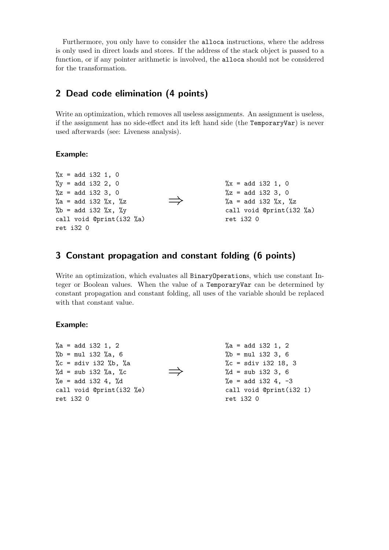Furthermore, you only have to consider the alloca instructions, where the address is only used in direct loads and stores. If the address of the stack object is passed to a function, or if any pointer arithmetic is involved, the alloca should not be considered for the transformation.

## 2 Dead code elimination (4 points)

Write an optimization, which removes all useless assignments. An assignment is useless, if the assignment has no side-effect and its left hand side (the TemporaryVar) is never used afterwards (see: Liveness analysis).

#### Example:

| $\sqrt[6]{y}$ = add i32 2, 0<br>$\chi =$ add i32 1, 0<br>$\chi$ z = add i32 3, 0<br>$\chi$ = add i32 3, 0<br>$\Rightarrow$<br>$\%a = add$ i32 $\%x$ , $\%z$<br>%a = add i32 %x, %z<br>%b = add i32 %x, %y<br>call void @print(i32 %a)<br>$ret$ i32 0<br>ret i32 0 | $\chi =$ add i32 1, 0 |                          |
|-------------------------------------------------------------------------------------------------------------------------------------------------------------------------------------------------------------------------------------------------------------------|-----------------------|--------------------------|
|                                                                                                                                                                                                                                                                   |                       |                          |
|                                                                                                                                                                                                                                                                   |                       |                          |
|                                                                                                                                                                                                                                                                   |                       |                          |
|                                                                                                                                                                                                                                                                   |                       | call void @print(i32 %a) |
|                                                                                                                                                                                                                                                                   |                       |                          |
|                                                                                                                                                                                                                                                                   |                       |                          |

# 3 Constant propagation and constant folding (6 points)

Write an optimization, which evaluates all BinaryOperations, which use constant Integer or Boolean values. When the value of a TemporaryVar can be determined by constant propagation and constant folding, all uses of the variable should be replaced with that constant value.

#### Example:

| %a = add i32 1, 2        | $\%a = add i32 1, 2$        |
|--------------------------|-----------------------------|
| %b = mul i32 %a, 6       | % $b = \text{mul}$ i32 3, 6 |
| %c = sdiv i32 %b, %a     | %c = sdiv i32 18, 3         |
| %d = sub i32 %a, %c      | % $d = sub i32 3, 6$        |
| %e = add i32 4, %d       | %e = add i32 4, $-3$        |
| call void @print(i32 %e) | call void @print(i32 1)     |
| ret i32 0                | $ret$ i32 0                 |
|                          |                             |